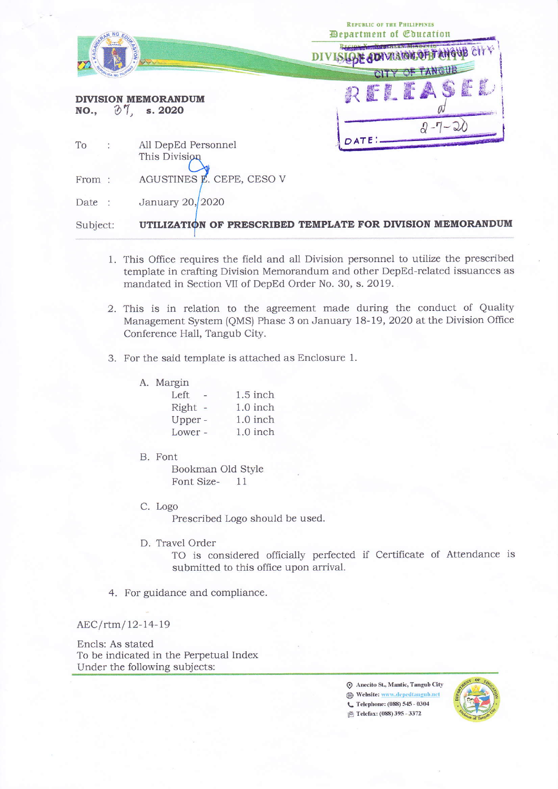| AGAIN<br><b>NOY</b>        |                                      | <b>REPUBLIC OF THE PHILIPPINES</b><br><b>Department of Education</b><br><b>UB CITY</b><br>CITY OF TANGUB |
|----------------------------|--------------------------------------|----------------------------------------------------------------------------------------------------------|
| NO., $\partial$ 7, s. 2020 | <b>DIVISION MEMORANDUM</b>           | $\mathbb{F}$<br>$2 - 7 -$                                                                                |
| $To$ :                     | All DepEd Personnel<br>This Division |                                                                                                          |
| From:                      | AGUSTINES E. CEPE, CESO V            |                                                                                                          |
| Date:                      | January 20, 2020                     |                                                                                                          |
| Subject:                   |                                      | UTILIZATION OF PRESCRIBED TEMPLATE FOR DIVISION MEMORANDUM                                               |

- 1. This Office requires the field and all Division personnel to utilize the prescribed template in crafting Division Memorandum and other DepEd-related issuances as mandated in Section VII of DepEd Order No. 30, s. 2019.
- 2. This is in relation to the agreement made during the conduct of Quality Management System (QMS) Phase 3 on January 18-19, 2020 at the Division Office Conference Hall, Tangub City.
- 3. For the said template is attached as Enclosure 1.

| Margin  |            |
|---------|------------|
| Left    | $1.5$ inch |
| Right - | 1.0 inch   |
| Upper - | 1.0 inch   |
| Lower - | 1.0 inch   |

B. Font

A.

Bookman Old Style Font Size-11

C. Logo

Prescribed Logo should be used.

D. Travel Order

TO is considered officially perfected if Certificate of Attendance is submitted to this office upon arrival.

4. For guidance and compliance.

AEC/rtm/12-14-19

Encls: As stated To be indicated in the Perpetual Index Under the following subjects:

> ⊙ Anecito St., Mantic, Tangub City Website: www.depedtangub.net C Telephone: (088) 545 - 0304 **B** Telefax: (088) 395 - 3372